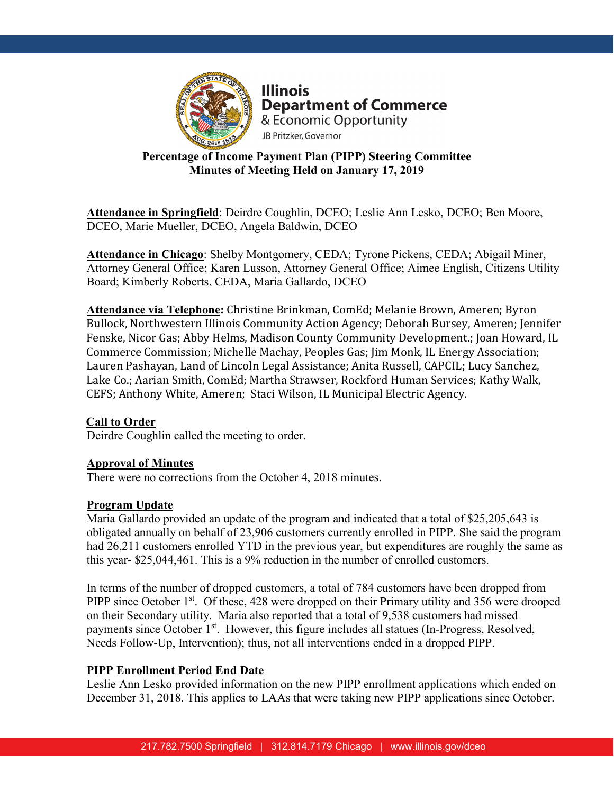

**Illinois Department of Commerce** & Economic Opportunity JB Pritzker, Governor

# **Percentage of Income Payment Plan (PIPP) Steering Committee Minutes of Meeting Held on January 17, 2019**

**Attendance in Springfield**: Deirdre Coughlin, DCEO; Leslie Ann Lesko, DCEO; Ben Moore, DCEO, Marie Mueller, DCEO, Angela Baldwin, DCEO

**Attendance in Chicago**: Shelby Montgomery, CEDA; Tyrone Pickens, CEDA; Abigail Miner, Attorney General Office; Karen Lusson, Attorney General Office; Aimee English, Citizens Utility Board; Kimberly Roberts, CEDA, Maria Gallardo, DCEO

**Attendance via Telephone:** Christine Brinkman, ComEd; Melanie Brown, Ameren; Byron Bullock, Northwestern Illinois Community Action Agency; Deborah Bursey, Ameren; Jennifer Fenske, Nicor Gas; Abby Helms, Madison County Community Development.; Joan Howard, IL Commerce Commission; Michelle Machay, Peoples Gas; Jim Monk, IL Energy Association; Lauren Pashayan, Land of Lincoln Legal Assistance; Anita Russell, CAPCIL; Lucy Sanchez, Lake Co.; Aarian Smith, ComEd; Martha Strawser, Rockford Human Services; Kathy Walk, CEFS; Anthony White, Ameren; Staci Wilson, IL Municipal Electric Agency.

## **Call to Order**

Deirdre Coughlin called the meeting to order.

## **Approval of Minutes**

There were no corrections from the October 4, 2018 minutes.

## **Program Update**

Maria Gallardo provided an update of the program and indicated that a total of \$25,205,643 is obligated annually on behalf of 23,906 customers currently enrolled in PIPP. She said the program had 26,211 customers enrolled YTD in the previous year, but expenditures are roughly the same as this year- \$25,044,461. This is a 9% reduction in the number of enrolled customers.

In terms of the number of dropped customers, a total of 784 customers have been dropped from PIPP since October 1<sup>st</sup>. Of these, 428 were dropped on their Primary utility and 356 were drooped on their Secondary utility. Maria also reported that a total of 9,538 customers had missed payments since October 1<sup>st</sup>. However, this figure includes all statues (In-Progress, Resolved, Needs Follow-Up, Intervention); thus, not all interventions ended in a dropped PIPP.

## **PIPP Enrollment Period End Date**

Leslie Ann Lesko provided information on the new PIPP enrollment applications which ended on December 31, 2018. This applies to LAAs that were taking new PIPP applications since October.